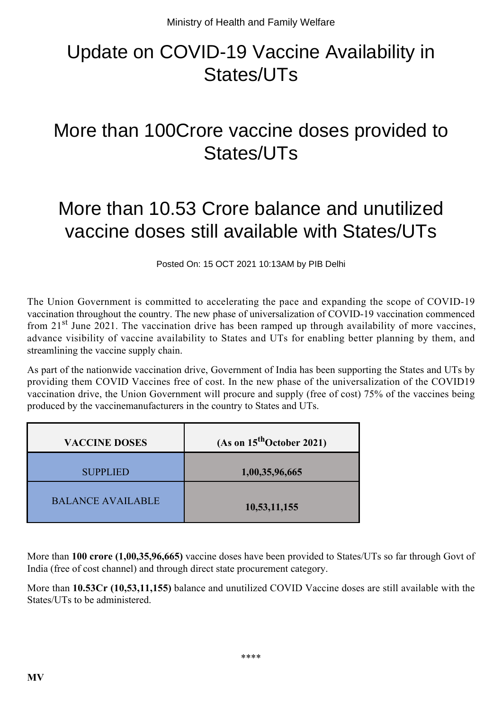## Update on COVID-19 Vaccine Availability in States/UTs

## More than 100Crore vaccine doses provided to States/UTs

## More than 10.53 Crore balance and unutilized vaccine doses still available with States/UTs

Posted On: 15 OCT 2021 10:13AM by PIB Delhi

The Union Government is committed to accelerating the pace and expanding the scope of COVID-19 vaccination throughout the country. The new phase of universalization of COVID-19 vaccination commenced from  $21<sup>st</sup>$  June 2021. The vaccination drive has been ramped up through availability of more vaccines, advance visibility of vaccine availability to States and UTs for enabling better planning by them, and streamlining the vaccine supply chain.

As part of the nationwide vaccination drive, Government of India has been supporting the States and UTs by providing them COVID Vaccines free of cost. In the new phase of the universalization of the COVID19 vaccination drive, the Union Government will procure and supply (free of cost) 75% of the vaccines being produced by the vaccinemanufacturers in the country to States and UTs.

| <b>VACCINE DOSES</b>     | (As on $15^{\text{th}}$ October 2021) |
|--------------------------|---------------------------------------|
| <b>SUPPLIED</b>          | 1,00,35,96,665                        |
| <b>BALANCE AVAILABLE</b> | 10,53,11,155                          |

More than **100 crore (1,00,35,96,665)** vaccine doses have been provided to States/UTs so far through Govt of India (free of cost channel) and through direct state procurement category.

More than **10.53Cr (10,53,11,155)** balance and unutilized COVID Vaccine doses are still available with the States/UTs to be administered.